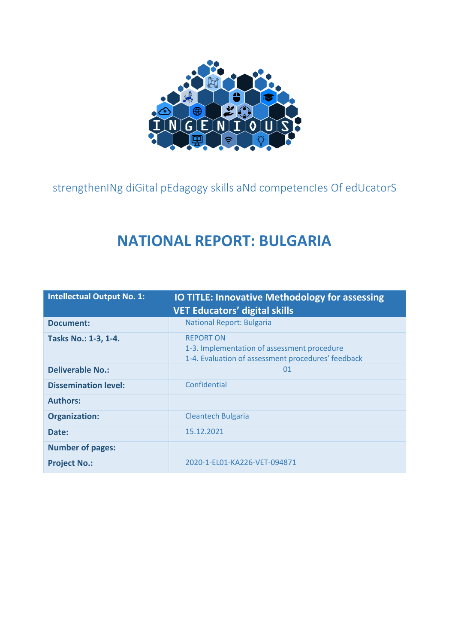

<span id="page-0-1"></span><span id="page-0-0"></span>strengthenINg diGital pEdagogy skills aNd competencIes Of edUcatorS

# **NATIONAL REPORT: BULGARIA**

| <b>Intellectual Output No. 1:</b> | <b>IO TITLE: Innovative Methodology for assessing</b><br><b>VET Educators' digital skills</b>                         |
|-----------------------------------|-----------------------------------------------------------------------------------------------------------------------|
| Document:                         | <b>National Report: Bulgaria</b>                                                                                      |
| Tasks No.: 1-3, 1-4.              | <b>REPORT ON</b><br>1-3. Implementation of assessment procedure<br>1-4. Evaluation of assessment procedures' feedback |
| <b>Deliverable No.:</b>           | 01                                                                                                                    |
| <b>Dissemination level:</b>       | Confidential                                                                                                          |
| <b>Authors:</b>                   |                                                                                                                       |
| <b>Organization:</b>              | <b>Cleantech Bulgaria</b>                                                                                             |
| Date:                             | 15.12.2021                                                                                                            |
| <b>Number of pages:</b>           |                                                                                                                       |
| <b>Project No.:</b>               | 2020-1-EL01-KA226-VET-094871                                                                                          |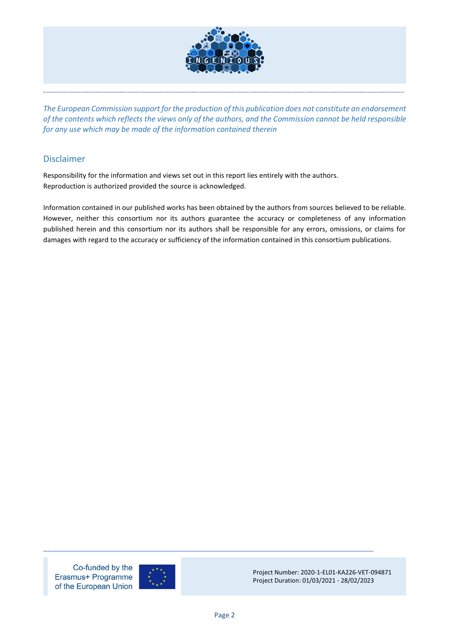

*The European Commission support for the production of this publication does not constitute an endorsement of the contents which reflects the views only of the authors, and the Commission cannot be held responsible for any use which may be made of the information contained therein*

\_\_\_\_\_\_\_\_\_\_\_\_\_\_\_\_\_\_\_\_\_\_\_\_\_\_\_\_\_\_\_\_\_\_\_\_\_\_\_\_\_\_\_\_\_\_\_\_\_\_\_\_\_\_\_\_\_\_\_\_\_\_\_\_\_\_\_\_\_\_\_\_\_\_\_\_\_\_\_\_\_\_\_\_\_\_\_\_\_\_\_\_\_\_\_\_\_\_\_\_\_\_\_\_\_\_\_\_\_\_\_\_\_\_\_\_

#### <span id="page-1-0"></span>Disclaimer

Responsibility for the information and views set out in this report lies entirely with the authors. Reproduction is authorized provided the source is acknowledged.

Information contained in our published works has been obtained by the authors from sources believed to be reliable. However, neither this consortium nor its authors guarantee the accuracy or completeness of any information published herein and this consortium nor its authors shall be responsible for any errors, omissions, or claims for damages with regard to the accuracy or sufficiency of the information contained in this consortium publications.

Co-funded by the Erasmus+ Programme of the European Union



Project Number: 2020-1-EL01-KA226-VET-094871 Project Duration: 01/03/2021 - 28/02/2023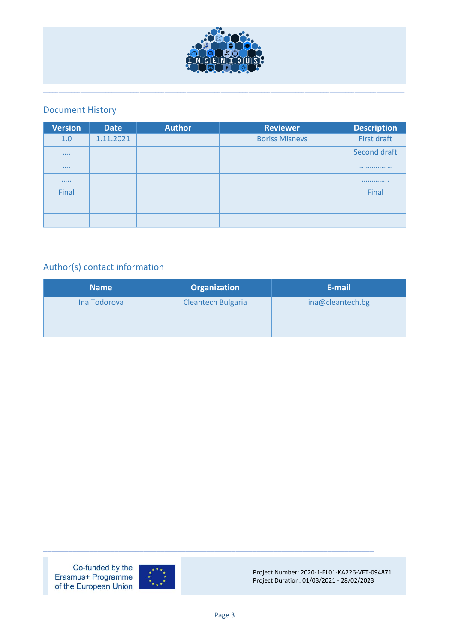

# <span id="page-2-0"></span>Document History

| <b>Version</b> | <b>Date</b> | <b>Author</b> | <b>Reviewer</b>       | <b>Description</b> |
|----------------|-------------|---------------|-----------------------|--------------------|
| 1.0            | 1.11.2021   |               | <b>Boriss Misnevs</b> | First draft        |
|                |             |               |                       | Second draft       |
| $\cdots$       |             |               |                       |                    |
|                |             |               |                       |                    |
| Final          |             |               |                       | Final              |
|                |             |               |                       |                    |
|                |             |               |                       |                    |

# <span id="page-2-1"></span>Author(s) contact information

| <b>Name</b>  | <b>Organization</b>       | E-mail           |
|--------------|---------------------------|------------------|
| Ina Todorova | <b>Cleantech Bulgaria</b> | ina@cleantech.bg |
|              |                           |                  |
|              |                           |                  |

Co-funded by the Erasmus+ Programme of the European Union



Project Number: 2020-1-EL01-KA226-VET-094871 Project Duration: 01/03/2021 - 28/02/2023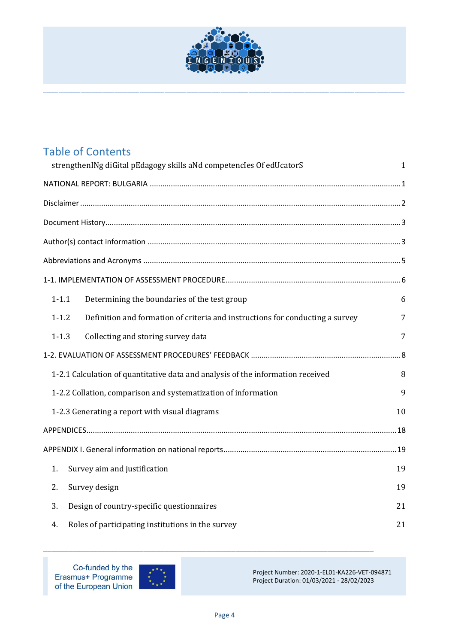

|    | <b>Table of Contents</b>                                                                   |    |
|----|--------------------------------------------------------------------------------------------|----|
|    | strengthenINg diGital pEdagogy skills aNd competencles Of edUcatorS                        | 1  |
|    |                                                                                            |    |
|    |                                                                                            |    |
|    |                                                                                            |    |
|    |                                                                                            |    |
|    |                                                                                            |    |
|    |                                                                                            |    |
|    | Determining the boundaries of the test group<br>$1 - 1.1$                                  | 6  |
|    | $1 - 1.2$<br>Definition and formation of criteria and instructions for conducting a survey | 7  |
|    | $1 - 1.3$<br>Collecting and storing survey data                                            | 7  |
|    |                                                                                            |    |
|    | 1-2.1 Calculation of quantitative data and analysis of the information received            | 8  |
|    | 1-2.2 Collation, comparison and systematization of information                             | 9  |
|    | 1-2.3 Generating a report with visual diagrams                                             | 10 |
|    |                                                                                            |    |
|    |                                                                                            |    |
| 1. | Survey aim and justification                                                               | 19 |
| 2. | Survey design                                                                              | 19 |
| 3. | Design of country-specific questionnaires                                                  | 21 |
| 4. | Roles of participating institutions in the survey                                          | 21 |

Co-funded by the Erasmus+ Programme<br>of the European Union



Project Number: 2020-1-EL01-KA226-VET-094871 Project Duration: 01/03/2021 - 28/02/2023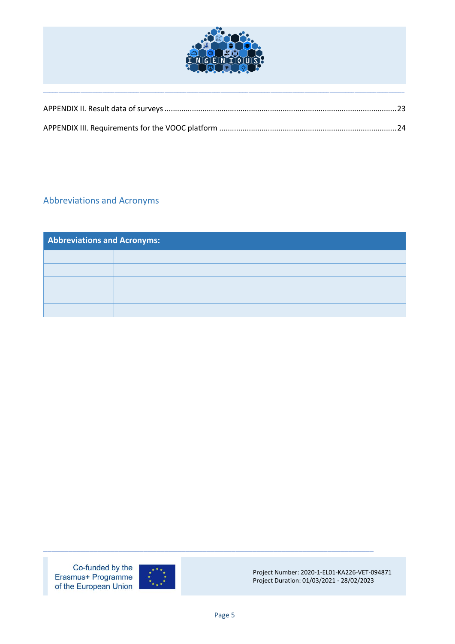

# <span id="page-4-0"></span>Abbreviations and Acronyms

| <b>Abbreviations and Acronyms:</b> |  |  |
|------------------------------------|--|--|
|                                    |  |  |
|                                    |  |  |
|                                    |  |  |
|                                    |  |  |
|                                    |  |  |

Co-funded by the Erasmus+ Programme of the European Union



Project Number: 2020-1-EL01-KA226-VET-094871 Project Duration: 01/03/2021 - 28/02/2023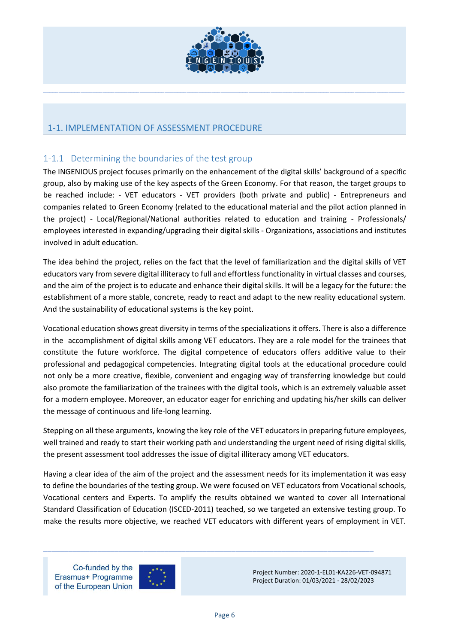

# <span id="page-5-0"></span>1-1. IMPLEMENTATION OF ASSESSMENT PROCEDURE

# <span id="page-5-1"></span>1-1.1 Determining the boundaries of the test group

The INGENIOUS project focuses primarily on the enhancement of the digital skills' background of a specific group, also by making use of the key aspects of the Green Economy. For that reason, the target groups to be reached include: - VET educators - VET providers (both private and public) - Entrepreneurs and companies related to Green Economy (related to the educational material and the pilot action planned in the project) - Local/Regional/National authorities related to education and training - Professionals/ employees interested in expanding/upgrading their digital skills - Organizations, associations and institutes involved in adult education.

The idea behind the project, relies on the fact that the level of familiarization and the digital skills of VET educators vary from severe digital illiteracy to full and effortless functionality in virtual classes and courses, and the aim of the project is to educate and enhance their digital skills. It will be a legacy for the future: the establishment of a more stable, concrete, ready to react and adapt to the new reality educational system. And the sustainability of educational systems is the key point.

Vocational education shows great diversity in terms of the specializations it offers. There is also a difference in the accomplishment of digital skills among VET educators. They are a role model for the trainees that constitute the future workforce. The digital competence of educators offers additive value to their professional and pedagogical competencies. Integrating digital tools at the educational procedure could not only be a more creative, flexible, convenient and engaging way of transferring knowledge but could also promote the familiarization of the trainees with the digital tools, which is an extremely valuable asset for a modern employee. Moreover, an educator eager for enriching and updating his/her skills can deliver the message of continuous and life-long learning.

Stepping on all these arguments, knowing the key role of the VET educators in preparing future employees, well trained and ready to start their working path and understanding the urgent need of rising digital skills, the present assessment tool addresses the issue of digital illiteracy among VET educators.

Having a clear idea of the aim of the project and the assessment needs for its implementation it was easy to define the boundaries of the testing group. We were focused on VET educators from Vocational schools, Vocational centers and Experts. To amplify the results obtained we wanted to cover all International Standard Classification of Education (ISCED-2011) teached, so we targeted an extensive testing group. To make the results more objective, we reached VET educators with different years of employment in VET.

\_\_\_\_\_\_\_\_\_\_\_\_\_\_\_\_\_\_\_\_\_\_\_\_\_\_\_\_\_\_\_\_\_\_\_\_\_\_\_\_\_\_\_\_\_\_\_\_\_\_\_\_\_\_\_\_\_\_\_\_\_\_\_\_\_\_\_\_\_\_\_\_\_\_\_\_\_\_\_

Co-funded by the Erasmus+ Programme of the European Union

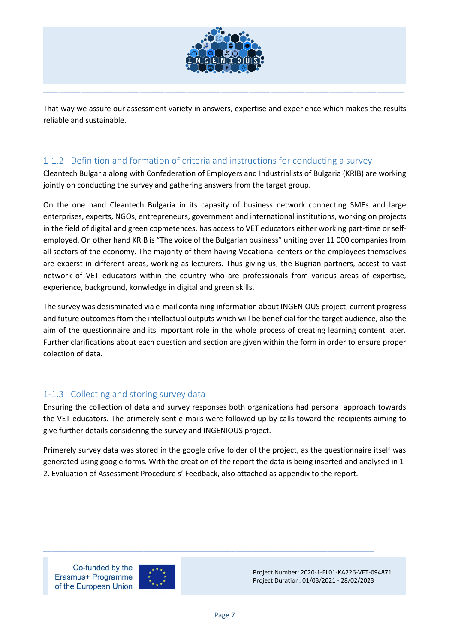

That way we assure our assessment variety in answers, expertise and experience which makes the results reliable and sustainable.

\_\_\_\_\_\_\_\_\_\_\_\_\_\_\_\_\_\_\_\_\_\_\_\_\_\_\_\_\_\_\_\_\_\_\_\_\_\_\_\_\_\_\_\_\_\_\_\_\_\_\_\_\_\_\_\_\_\_\_\_\_\_\_\_\_\_\_\_\_\_\_\_\_\_\_\_\_\_\_\_\_\_\_\_\_\_\_\_\_\_\_\_\_\_\_\_\_\_\_\_\_\_\_\_\_\_\_\_\_\_\_\_\_\_\_\_

# <span id="page-6-0"></span>1-1.2 Definition and formation of criteria and instructions for conducting a survey

Cleantech Bulgaria along with Confederation of Employers and Industrialists of Bulgaria (KRIB) are working jointly on conducting the survey and gathering answers from the target group.

On the one hand Cleantech Bulgaria in its capasity of business network connecting SMEs and large enterprises, experts, NGOs, entrepreneurs, government and international institutions, working on projects in the field of digital and green copmetences, has access to VET educators either working part-time or selfemployed. On other hand KRIB is "The voice of the Bulgarian business" uniting over 11 000 companies from all sectors of the economy. The majority of them having Vocational centers or the employees themselves are experst in different areas, working as lecturers. Thus giving us, the Bugrian partners, accest to vast network of VET educators within the country who are professionals from various areas of expertise, experience, background, konwledge in digital and green skills.

The survey was desisminated via e-mail containing information about INGENIOUS project, current progress and future outcomes ftom the intellactual outputs which will be beneficial for the target audience, also the aim of the questionnaire and its important role in the whole process of creating learning content later. Further clarifications about each question and section are given within the form in order to ensure proper colection of data.

# <span id="page-6-1"></span>1-1.3 Collecting and storing survey data

Ensuring the collection of data and survey responses both organizations had personal approach towards the VET educators. The primerely sent e-mails were followed up by calls toward the recipients aiming to give further details considering the survey and INGENIOUS project.

Primerely survey data was stored in the google drive folder of the project, as the questionnaire itself was generated using google forms. With the creation of the report the data is being inserted and analysed in 1- 2. Evaluation of Assessment Procedure s' Feedback, also attached as appendix to the report.

Co-funded by the Erasmus+ Programme of the European Union



Project Number: 2020-1-EL01-KA226-VET-094871 Project Duration: 01/03/2021 - 28/02/2023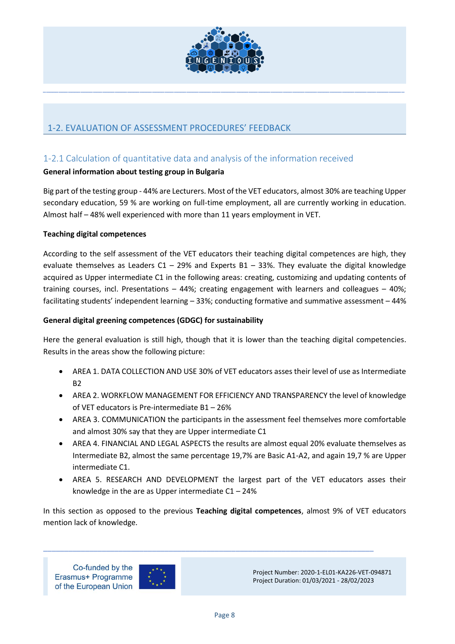

# <span id="page-7-0"></span>1-2. EVALUATION OF ASSESSMENT PROCEDURES' FEEDBACK

# <span id="page-7-1"></span>1-2.1 Calculation of quantitative data and analysis of the information received

# **General information about testing group in Bulgaria**

Big part of the testing group - 44% are Lecturers. Most of the VET educators, almost 30% are teaching Upper secondary education, 59 % are working on full-time employment, all are currently working in education. Almost half – 48% well experienced with more than 11 years employment in VET.

#### **Teaching digital competences**

According to the self assessment of the VET educators their teaching digital competences are high, they evaluate themselves as Leaders C1 – 29% and Experts B1 – 33%. They evaluate the digital knowledge acquired as Upper intermediate C1 in the following areas: creating, customizing and updating contents of training courses, incl. Presentations – 44%; creating engagement with learners and colleagues – 40%; facilitating students' independent learning – 33%; conducting formative and summative assessment – 44%

#### **General digital greening competences (GDGC) for sustainability**

Here the general evaluation is still high, though that it is lower than the teaching digital competencies. Results in the areas show the following picture:

- AREA 1. DATA COLLECTION AND USE 30% of VET educators asses their level of use as Intermediate  $B<sub>2</sub>$
- AREA 2. WORKFLOW MANAGEMENT FOR EFFICIENCY AND TRANSPARENCY the level of knowledge of VET educators is Pre-intermediate B1 – 26%
- AREA 3. COMMUNICATION the participants in the assessment feel themselves more comfortable and almost 30% say that they are Upper intermediate C1
- AREA 4. FINANCIAL AND LEGAL ASPECTS the results are almost equal 20% evaluate themselves as Intermediate B2, almost the same percentage 19,7% are Basic A1-A2, and again 19,7 % are Upper intermediate C1.
- AREA 5. RESEARCH AND DEVELOPMENT the largest part of the VET educators asses their knowledge in the are as Upper intermediate  $C1 - 24%$

In this section as opposed to the previous **Teaching digital competences**, almost 9% of VET educators mention lack of knowledge.

\_\_\_\_\_\_\_\_\_\_\_\_\_\_\_\_\_\_\_\_\_\_\_\_\_\_\_\_\_\_\_\_\_\_\_\_\_\_\_\_\_\_\_\_\_\_\_\_\_\_\_\_\_\_\_\_\_\_\_\_\_\_\_\_\_\_\_\_\_\_\_\_\_\_\_\_\_\_\_

Co-funded by the Erasmus+ Programme of the European Union

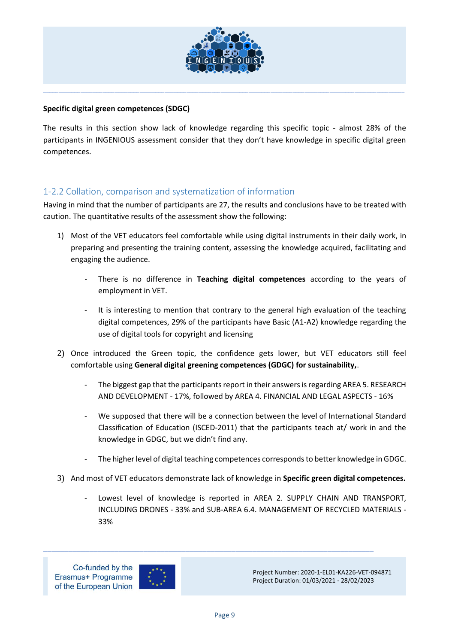

#### **Specific digital green competences (SDGC)**

The results in this section show lack of knowledge regarding this specific topic - almost 28% of the participants in INGENIOUS assessment consider that they don't have knowledge in specific digital green competences.

# <span id="page-8-0"></span>1-2.2 Collation, comparison and systematization of information

Having in mind that the number of participants are 27, the results and conclusions have to be treated with caution. The quantitative results of the assessment show the following:

- 1) Most of the VET educators feel comfortable while using digital instruments in their daily work, in preparing and presenting the training content, assessing the knowledge acquired, facilitating and engaging the audience.
	- There is no difference in **Teaching digital competences** according to the years of employment in VET.
	- It is interesting to mention that contrary to the general high evaluation of the teaching digital competences, 29% of the participants have Basic (A1-A2) knowledge regarding the use of digital tools for copyright and licensing
- 2) Once introduced the Green topic, the confidence gets lower, but VET educators still feel comfortable using **General digital greening competences (GDGC) for sustainability,**.
	- The biggest gap that the participants report in their answers is regarding AREA 5. RESEARCH AND DEVELOPMENT - 17%, followed by AREA 4. FINANCIAL AND LEGAL ASPECTS - 16%
	- We supposed that there will be a connection between the level of International Standard Classification of Education (ISCED-2011) that the participants teach at/ work in and the knowledge in GDGC, but we didn't find any.
	- The higher level of digital teaching competences corresponds to better knowledge in GDGC.
- 3) And most of VET educators demonstrate lack of knowledge in **Specific green digital competences.**
	- Lowest level of knowledge is reported in AREA 2. SUPPLY CHAIN AND TRANSPORT, INCLUDING DRONES - 33% and SUB-AREA 6.4. MANAGEMENT OF RECYCLED MATERIALS - 33%



Project Number: 2020-1-EL01-KA226-VET-094871 Project Duration: 01/03/2021 - 28/02/2023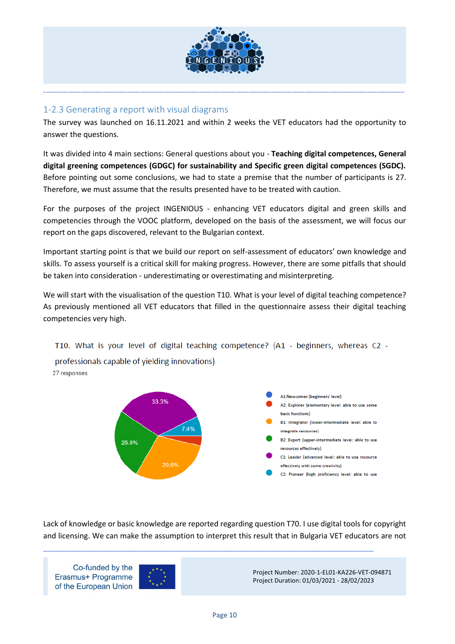

# <span id="page-9-0"></span>1-2.3 Generating a report with visual diagrams

The survey was launched on 16.11.2021 and within 2 weeks the VET educators had the opportunity to answer the questions.

It was divided into 4 main sections: General questions about you - **Teaching digital competences, General digital greening competences (GDGC) for sustainability and Specific green digital competences (SGDC).**  Before pointing out some conclusions, we had to state a premise that the number of participants is 27. Therefore, we must assume that the results presented have to be treated with caution.

For the purposes of the project INGENIOUS - enhancing VET educators digital and green skills and competencies through the VOOC platform, developed on the basis of the assessment, we will focus our report on the gaps discovered, relevant to the Bulgarian context.

Important starting point is that we build our report on self-assessment of educators' own knowledge and skills. To assess yourself is a critical skill for making progress. However, there are some pitfalls that should be taken into consideration - underestimating or overestimating and misinterpreting.

We will start with the visualisation of the question T10. What is your level of digital teaching competence? As previously mentioned all VET educators that filled in the questionnaire assess their digital teaching competencies very high.

T10. What is your level of digital teaching competence? (A1 - beginners, whereas C2 -

professionals capable of yielding innovations) 27 responses



Lack of knowledge or basic knowledge are reported regarding question T70. I use digital tools for copyright and licensing. We can make the assumption to interpret this result that in Bulgaria VET educators are not

\_\_\_\_\_\_\_\_\_\_\_\_\_\_\_\_\_\_\_\_\_\_\_\_\_\_\_\_\_\_\_\_\_\_\_\_\_\_\_\_\_\_\_\_\_\_\_\_\_\_\_\_\_\_\_\_\_\_\_\_\_\_\_\_\_\_\_\_\_\_\_\_\_\_\_\_\_\_\_

Co-funded by the Erasmus+ Programme of the European Union

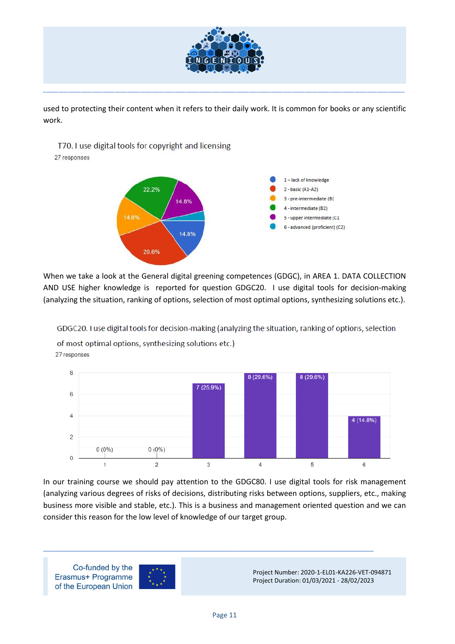

used to protecting their content when it refers to their daily work. It is common for books or any scientific work.

\_\_\_\_\_\_\_\_\_\_\_\_\_\_\_\_\_\_\_\_\_\_\_\_\_\_\_\_\_\_\_\_\_\_\_\_\_\_\_\_\_\_\_\_\_\_\_\_\_\_\_\_\_\_\_\_\_\_\_\_\_\_\_\_\_\_\_\_\_\_\_\_\_\_\_\_\_\_\_\_\_\_\_\_\_\_\_\_\_\_\_\_\_\_\_\_\_\_\_\_\_\_\_\_\_\_\_\_\_\_\_\_\_\_\_\_

T70. I use digital tools for copyright and licensing

27 responses



When we take a look at the General digital greening competences (GDGC), in AREA 1. DATA COLLECTION AND USE higher knowledge is reported for question GDGC20. I use digital tools for decision-making (analyzing the situation, ranking of options, selection of most optimal options, synthesizing solutions etc.).

GDGC20. I use digital tools for decision-making (analyzing the situation, ranking of options, selection

of most optimal options, synthesizing solutions etc.) 27 responses



In our training course we should pay attention to the GDGC80. I use digital tools for risk management (analyzing various degrees of risks of decisions, distributing risks between options, suppliers, etc., making business more visible and stable, etc.). This is a business and management oriented question and we can consider this reason for the low level of knowledge of our target group.

\_\_\_\_\_\_\_\_\_\_\_\_\_\_\_\_\_\_\_\_\_\_\_\_\_\_\_\_\_\_\_\_\_\_\_\_\_\_\_\_\_\_\_\_\_\_\_\_\_\_\_\_\_\_\_\_\_\_\_\_\_\_\_\_\_\_\_\_\_\_\_\_\_\_\_\_\_\_\_

Co-funded by the Erasmus+ Programme of the European Union

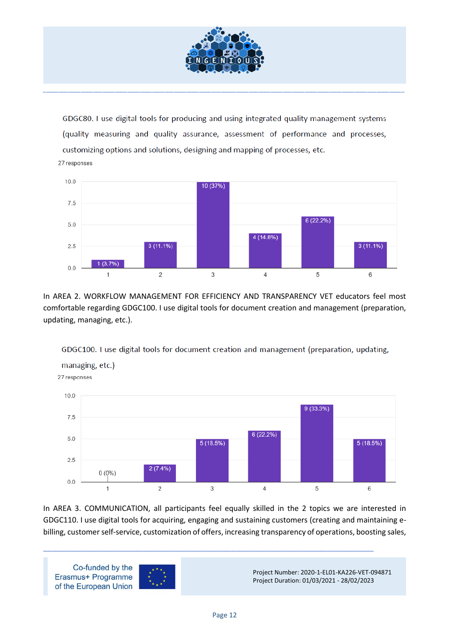

GDGC80. I use digital tools for producing and using integrated quality management systems (quality measuring and quality assurance, assessment of performance and processes, customizing options and solutions, designing and mapping of processes, etc.

27 responses



In AREA 2. WORKFLOW MANAGEMENT FOR EFFICIENCY AND TRANSPARENCY VET educators feel most comfortable regarding GDGC100. I use digital tools for document creation and management (preparation, updating, managing, etc.).

GDGC100. I use digital tools for document creation and management (preparation, updating,



In AREA 3. COMMUNICATION, all participants feel equally skilled in the 2 topics we are interested in GDGC110. I use digital tools for acquiring, engaging and sustaining customers (creating and maintaining ebilling, customer self-service, customization of offers, increasing transparency of operations, boosting sales,

\_\_\_\_\_\_\_\_\_\_\_\_\_\_\_\_\_\_\_\_\_\_\_\_\_\_\_\_\_\_\_\_\_\_\_\_\_\_\_\_\_\_\_\_\_\_\_\_\_\_\_\_\_\_\_\_\_\_\_\_\_\_\_\_\_\_\_\_\_\_\_\_\_\_\_\_\_\_\_

Co-funded by the Project Number: 2020-1-EL01-KA226-VET-094871 Erasmus+ Programme Project Duration: 01/03/2021 - 28/02/2023 of the European Union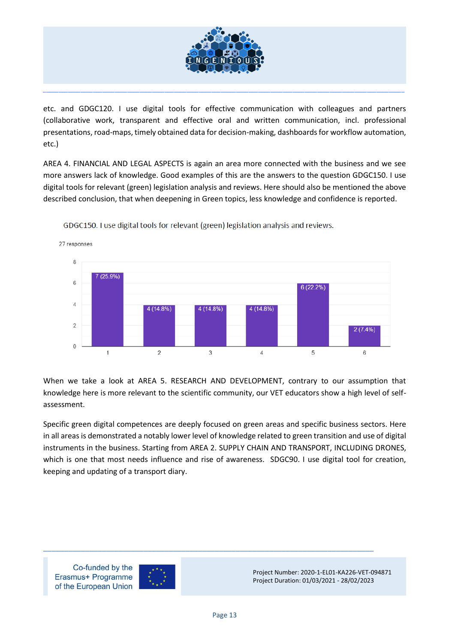

etc. and GDGC120. I use digital tools for effective communication with colleagues and partners (collaborative work, transparent and effective oral and written communication, incl. professional presentations, road-maps, timely obtained data for decision-making, dashboards for workflow automation, etc.)

AREA 4. FINANCIAL AND LEGAL ASPECTS is again an area more connected with the business and we see more answers lack of knowledge. Good examples of this are the answers to the question GDGC150. I use digital tools for relevant (green) legislation analysis and reviews. Here should also be mentioned the above described conclusion, that when deepening in Green topics, less knowledge and confidence is reported.



GDGC150. I use digital tools for relevant (green) legislation analysis and reviews.

When we take a look at AREA 5. RESEARCH AND DEVELOPMENT, contrary to our assumption that knowledge here is more relevant to the scientific community, our VET educators show a high level of selfassessment.

Specific green digital competences are deeply focused on green areas and specific business sectors. Here in all areas is demonstrated a notably lower level of knowledge related to green transition and use of digital instruments in the business. Starting from AREA 2. SUPPLY CHAIN AND TRANSPORT, INCLUDING DRONES, which is one that most needs influence and rise of awareness. SDGC90. I use digital tool for creation, keeping and updating of a transport diary.

Co-funded by the Erasmus+ Programme of the European Union

27 responses



Project Number: 2020-1-EL01-KA226-VET-094871 Project Duration: 01/03/2021 - 28/02/2023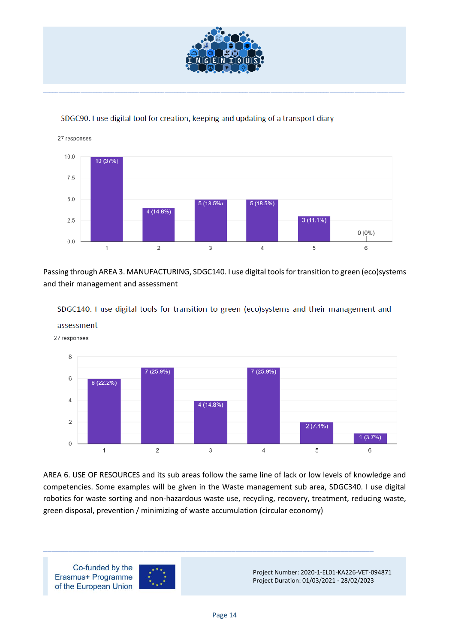

#### SDGC90. I use digital tool for creation, keeping and updating of a transport diary



Passing through AREA 3. MANUFACTURING, SDGC140. I use digital tools for transition to green (eco)systems and their management and assessment



SDGC140. I use digital tools for transition to green (eco)systems and their management and

assessment

AREA 6. USE OF RESOURCES and its sub areas follow the same line of lack or low levels of knowledge and competencies. Some examples will be given in the Waste management sub area, SDGC340. I use digital robotics for waste sorting and non-hazardous waste use, recycling, recovery, treatment, reducing waste, green disposal, prevention / minimizing of waste accumulation (circular economy)

\_\_\_\_\_\_\_\_\_\_\_\_\_\_\_\_\_\_\_\_\_\_\_\_\_\_\_\_\_\_\_\_\_\_\_\_\_\_\_\_\_\_\_\_\_\_\_\_\_\_\_\_\_\_\_\_\_\_\_\_\_\_\_\_\_\_\_\_\_\_\_\_\_\_\_\_\_\_\_

Co-funded by the Project Number: 2020-1-EL01-KA226-VET-094871 Erasmus+ Programme Project Duration: 01/03/2021 - 28/02/2023 of the European Union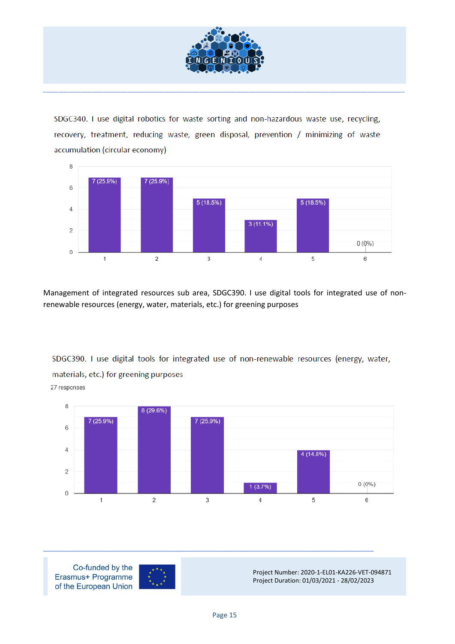

SDGC340. I use digital robotics for waste sorting and non-hazardous waste use, recycling, recovery, treatment, reducing waste, green disposal, prevention / minimizing of waste accumulation (circular economy)



Management of integrated resources sub area, SDGC390. I use digital tools for integrated use of nonrenewable resources (energy, water, materials, etc.) for greening purposes

SDGC390. I use digital tools for integrated use of non-renewable resources (energy, water, materials, etc.) for greening purposes

27 responses



Co-funded by the Erasmus+ Programme of the European Union



Project Number: 2020-1-EL01-KA226-VET-094871 Project Duration: 01/03/2021 - 28/02/2023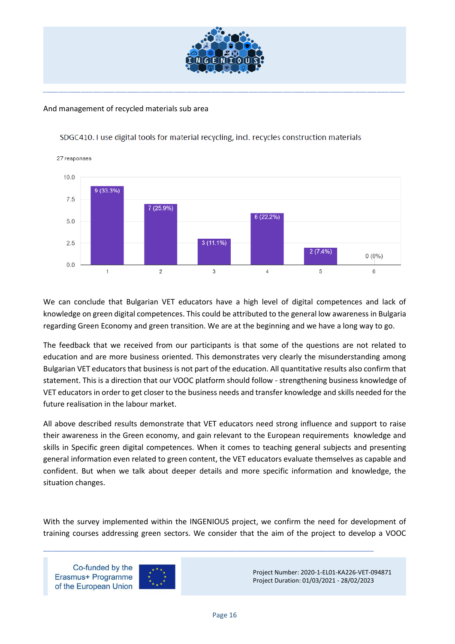

#### And management of recycled materials sub area



#### SDGC410. I use digital tools for material recycling, incl. recycles construction materials

We can conclude that Bulgarian VET educators have a high level of digital competences and lack of knowledge on green digital competences. This could be attributed to the general low awareness in Bulgaria regarding Green Economy and green transition. We are at the beginning and we have a long way to go.

The feedback that we received from our participants is that some of the questions are not related to education and are more business oriented. This demonstrates very clearly the misunderstanding among Bulgarian VET educators that business is not part of the education. All quantitative results also confirm that statement. This is a direction that our VOOC platform should follow - strengthening business knowledge of VET educators in order to get closer to the business needs and transfer knowledge and skills needed for the future realisation in the labour market.

All above described results demonstrate that VET educators need strong influence and support to raise their awareness in the Green economy, and gain relevant to the European requirements knowledge and skills in Specific green digital competences. When it comes to teaching general subjects and presenting general information even related to green content, the VET educators evaluate themselves as capable and confident. But when we talk about deeper details and more specific information and knowledge, the situation changes.

With the survey implemented within the INGENIOUS project, we confirm the need for development of training courses addressing green sectors. We consider that the aim of the project to develop a VOOC

\_\_\_\_\_\_\_\_\_\_\_\_\_\_\_\_\_\_\_\_\_\_\_\_\_\_\_\_\_\_\_\_\_\_\_\_\_\_\_\_\_\_\_\_\_\_\_\_\_\_\_\_\_\_\_\_\_\_\_\_\_\_\_\_\_\_\_\_\_\_\_\_\_\_\_\_\_\_\_

Co-funded by the Erasmus+ Programme of the European Union

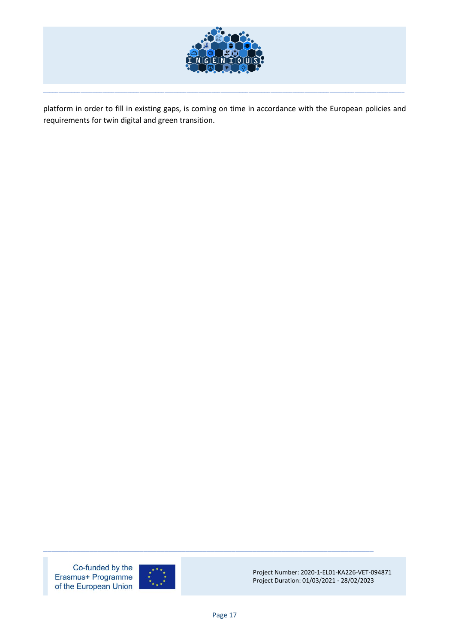

platform in order to fill in existing gaps, is coming on time in accordance with the European policies and requirements for twin digital and green transition.

\_\_\_\_\_\_\_\_\_\_\_\_\_\_\_\_\_\_\_\_\_\_\_\_\_\_\_\_\_\_\_\_\_\_\_\_\_\_\_\_\_\_\_\_\_\_\_\_\_\_\_\_\_\_\_\_\_\_\_\_\_\_\_\_\_\_\_\_\_\_\_\_\_\_\_\_\_\_\_\_\_\_\_\_\_\_\_\_\_\_\_\_\_\_\_\_\_\_\_\_\_\_\_\_\_\_\_\_\_\_\_\_\_\_\_\_

Co-funded by the Erasmus+ Programme of the European Union



Project Number: 2020-1-EL01-KA226-VET-094871 Project Duration: 01/03/2021 - 28/02/2023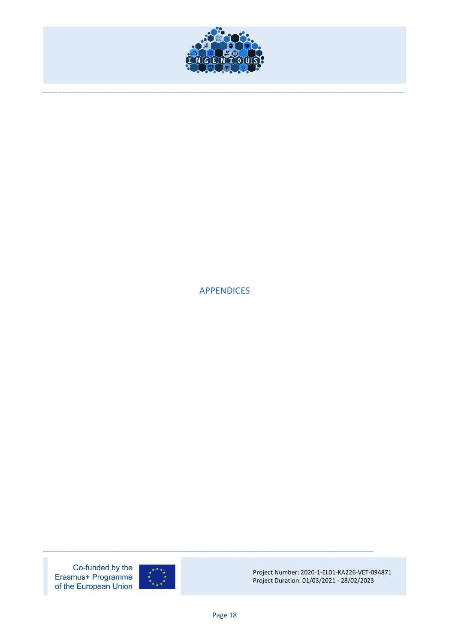

<span id="page-17-0"></span>**APPENDICES** 

Co-funded by the Erasmus+ Programme of the European Union

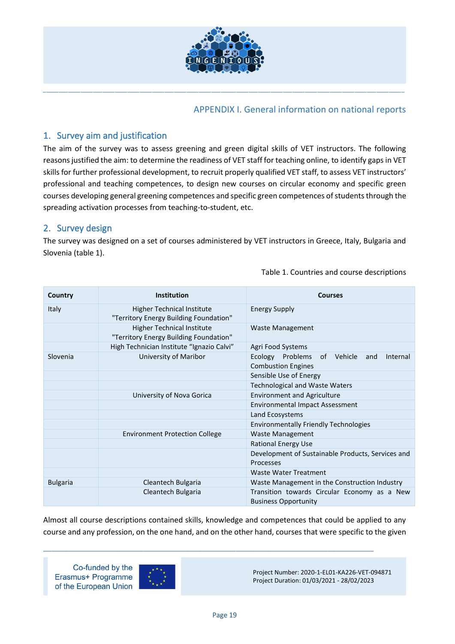

# APPENDIX I. General information on national reports

# <span id="page-18-1"></span><span id="page-18-0"></span>1. Survey aim and justification

The aim of the survey was to assess greening and green digital skills of VET instructors. The following reasons justified the aim: to determine the readiness of VET staff for teaching online, to identify gaps in VET skills for further professional development, to recruit properly qualified VET staff, to assess VET instructors' professional and teaching competences, to design new courses on circular economy and specific green courses developing general greening competences and specific green competences of students through the spreading activation processes from teaching-to-student, etc.

# <span id="page-18-2"></span>2. Survey design

The survey was designed on a set of courses administered by VET instructors in Greece, Italy, Bulgaria and Slovenia (table 1).

| Country         | Institution                                                                 | <b>Courses</b>                                                                 |  |
|-----------------|-----------------------------------------------------------------------------|--------------------------------------------------------------------------------|--|
| <b>Italy</b>    | <b>Higher Technical Institute</b><br>"Territory Energy Building Foundation" | <b>Energy Supply</b>                                                           |  |
|                 | <b>Higher Technical Institute</b><br>"Territory Energy Building Foundation" | <b>Waste Management</b>                                                        |  |
|                 | High Technician Institute "Ignazio Calvi"                                   | Agri Food Systems                                                              |  |
| Slovenia        | University of Maribor                                                       | Ecology Problems<br>of Vehicle<br>Internal<br>and<br><b>Combustion Engines</b> |  |
|                 |                                                                             | Sensible Use of Energy                                                         |  |
|                 |                                                                             | <b>Technological and Waste Waters</b>                                          |  |
|                 | University of Nova Gorica                                                   | <b>Environment and Agriculture</b>                                             |  |
|                 |                                                                             | <b>Environmental Impact Assessment</b>                                         |  |
|                 |                                                                             | Land Ecosystems                                                                |  |
|                 |                                                                             | <b>Environmentally Friendly Technologies</b>                                   |  |
|                 | <b>Environment Protection College</b>                                       | <b>Waste Management</b>                                                        |  |
|                 |                                                                             | <b>Rational Energy Use</b>                                                     |  |
|                 |                                                                             | Development of Sustainable Products, Services and                              |  |
|                 |                                                                             | Processes                                                                      |  |
|                 |                                                                             | <b>Waste Water Treatment</b>                                                   |  |
| <b>Bulgaria</b> | Cleantech Bulgaria                                                          | Waste Management in the Construction Industry                                  |  |
|                 | Cleantech Bulgaria                                                          | Transition towards Circular Economy as a New<br><b>Business Opportunity</b>    |  |

Table 1. Countries and course descriptions

Almost all course descriptions contained skills, knowledge and competences that could be applied to any course and any profession, on the one hand, and on the other hand, courses that were specific to the given

\_\_\_\_\_\_\_\_\_\_\_\_\_\_\_\_\_\_\_\_\_\_\_\_\_\_\_\_\_\_\_\_\_\_\_\_\_\_\_\_\_\_\_\_\_\_\_\_\_\_\_\_\_\_\_\_\_\_\_\_\_\_\_\_\_\_\_\_\_\_\_\_\_\_\_\_\_\_\_

Co-funded by the Erasmus+ Programme of the European Union

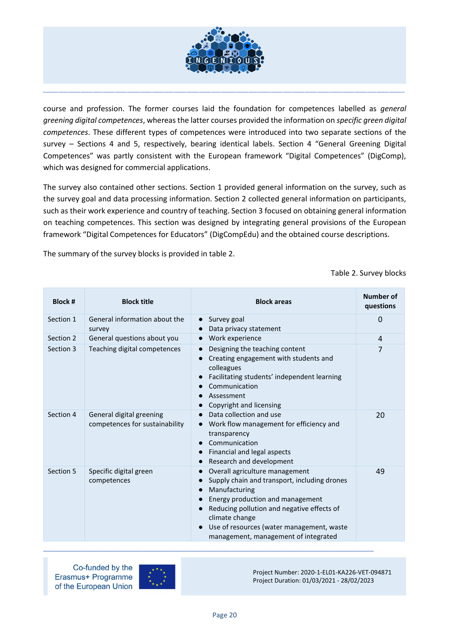

course and profession. The former courses laid the foundation for competences labelled as *general greening digital competences*, whereas the latter courses provided the information on *specific green digital competences*. These different types of competences were introduced into two separate sections of the survey – Sections 4 and 5, respectively, bearing identical labels. Section 4 "General Greening Digital Competences" was partly consistent with the European framework "Digital Competences" (DigComp), which was designed for commercial applications.

The survey also contained other sections. Section 1 provided general information on the survey, such as the survey goal and data processing information. Section 2 collected general information on participants, such as their work experience and country of teaching. Section 3 focused on obtaining general information on teaching competences. This section was designed by integrating general provisions of the European framework "Digital Competences for Educators" (DigCompEdu) and the obtained course descriptions.

The summary of the survey blocks is provided in table 2.

Table 2. Survey blocks

| <b>Block #</b> | <b>Block title</b>                                         | <b>Block areas</b>                                                                                                                                                                                                                                                                                                              | Number of<br>questions |
|----------------|------------------------------------------------------------|---------------------------------------------------------------------------------------------------------------------------------------------------------------------------------------------------------------------------------------------------------------------------------------------------------------------------------|------------------------|
| Section 1      | General information about the<br>survey                    | Survey goal<br>$\bullet$<br>Data privacy statement                                                                                                                                                                                                                                                                              | 0                      |
| Section 2      | General questions about you                                | Work experience<br>$\bullet$                                                                                                                                                                                                                                                                                                    | $\overline{4}$         |
| Section 3      | Teaching digital competences                               | Designing the teaching content<br>$\bullet$<br>Creating engagement with students and<br>colleagues<br>Facilitating students' independent learning<br>Communication<br>Assessment<br>Copyright and licensing                                                                                                                     | 7                      |
| Section 4      | General digital greening<br>competences for sustainability | Data collection and use<br>$\bullet$<br>Work flow management for efficiency and<br>transparency<br>Communication<br>Financial and legal aspects<br>$\bullet$<br>Research and development                                                                                                                                        | 20                     |
| Section 5      | Specific digital green<br>competences                      | Overall agriculture management<br>$\bullet$<br>Supply chain and transport, including drones<br>$\bullet$<br>Manufacturing<br>$\bullet$<br>Energy production and management<br>Reducing pollution and negative effects of<br>climate change<br>Use of resources (water management, waste<br>management, management of integrated | 49                     |

Co-funded by the Erasmus+ Programme of the European Union



Project Number: 2020-1-EL01-KA226-VET-094871 Project Duration: 01/03/2021 - 28/02/2023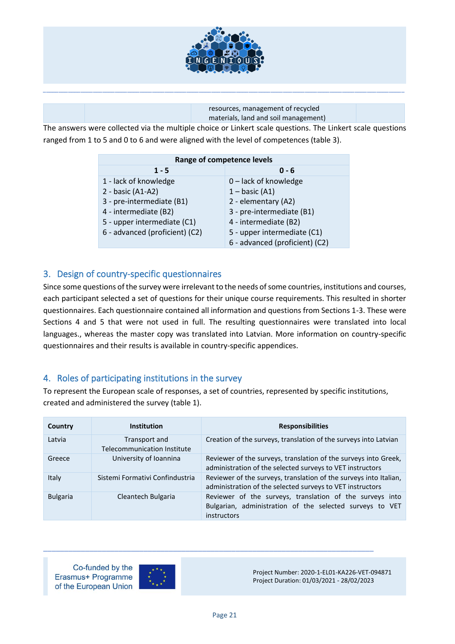

resources, management of recycled materials, land and soil management)

The answers were collected via the multiple choice or Linkert scale questions. The Linkert scale questions ranged from 1 to 5 and 0 to 6 and were aligned with the level of competences (table 3).

| Range of competence levels     |                                |  |
|--------------------------------|--------------------------------|--|
| $1 - 5$                        | $0 - 6$                        |  |
| 1 - lack of knowledge          | 0 - lack of knowledge          |  |
| 2 - basic (A1-A2)              | $1 - basic (A1)$               |  |
| 3 - pre-intermediate (B1)      | 2 - elementary (A2)            |  |
| 4 - intermediate (B2)          | 3 - pre-intermediate (B1)      |  |
| 5 - upper intermediate (C1)    | 4 - intermediate (B2)          |  |
| 6 - advanced (proficient) (C2) | 5 - upper intermediate (C1)    |  |
|                                | 6 - advanced (proficient) (C2) |  |

# <span id="page-20-0"></span>3. Design of country-specific questionnaires

Since some questions of the survey were irrelevant to the needs of some countries, institutions and courses, each participant selected a set of questions for their unique course requirements. This resulted in shorter questionnaires. Each questionnaire contained all information and questions from Sections 1-3. These were Sections 4 and 5 that were not used in full. The resulting questionnaires were translated into local languages., whereas the master copy was translated into Latvian. More information on country-specific questionnaires and their results is available in country-specific appendices.

# <span id="page-20-1"></span>4. Roles of participating institutions in the survey

To represent the European scale of responses, a set of countries, represented by specific institutions, created and administered the survey (table 1).

| Country         | <b>Institution</b>                                  | <b>Responsibilities</b>                                                                                                             |
|-----------------|-----------------------------------------------------|-------------------------------------------------------------------------------------------------------------------------------------|
| Latvia          | Transport and<br><b>Telecommunication Institute</b> | Creation of the surveys, translation of the surveys into Latvian                                                                    |
| Greece          | University of Ioannina                              | Reviewer of the surveys, translation of the surveys into Greek,<br>administration of the selected surveys to VET instructors        |
| Italy           | Sistemi Formativi Confindustria                     | Reviewer of the surveys, translation of the surveys into Italian,<br>administration of the selected surveys to VET instructors      |
| <b>Bulgaria</b> | Cleantech Bulgaria                                  | Reviewer of the surveys, translation of the surveys into<br>Bulgarian, administration of the selected surveys to VET<br>instructors |

Co-funded by the Erasmus+ Programme of the European Union



Project Number: 2020-1-EL01-KA226-VET-094871 Project Duration: 01/03/2021 - 28/02/2023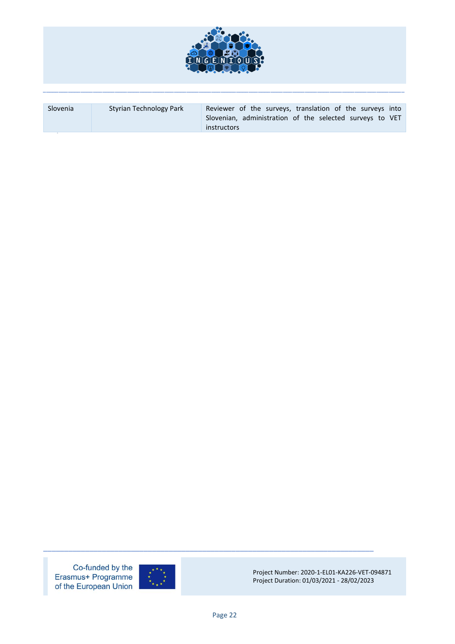

| Slovenia | Styrian Technology Park | Reviewer of the surveys, translation of the surveys into<br>Slovenian, administration of the selected surveys to VET |
|----------|-------------------------|----------------------------------------------------------------------------------------------------------------------|
|          |                         | <i>instructors</i>                                                                                                   |

Co-funded by the Erasmus+ Programme<br>of the European Union



Project Number: 2020-1-EL01-KA226-VET-094871 Project Duration: 01/03/2021 - 28/02/2023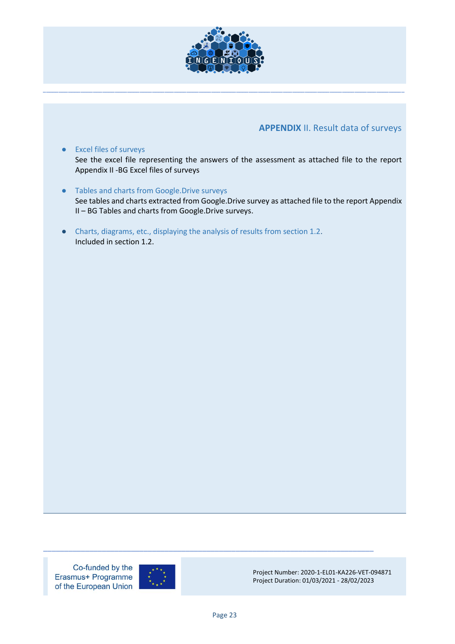

# **APPENDIX** II. Result data of surveys

- <span id="page-22-0"></span>● Excel files of surveys See the excel file representing the answers of the assessment as attached file to the report Appendix II -BG Excel files of surveys
- Tables and charts from Google.Drive surveys See tables and charts extracted from Google.Drive survey as attached file to the report Appendix II – BG Tables and charts from Google.Drive surveys.
- Charts, diagrams, etc., displaying the analysis of results from section 1.2. Included in section 1.2.

Co-funded by the Erasmus+ Programme of the European Union



Project Number: 2020-1-EL01-KA226-VET-094871 Project Duration: 01/03/2021 - 28/02/2023